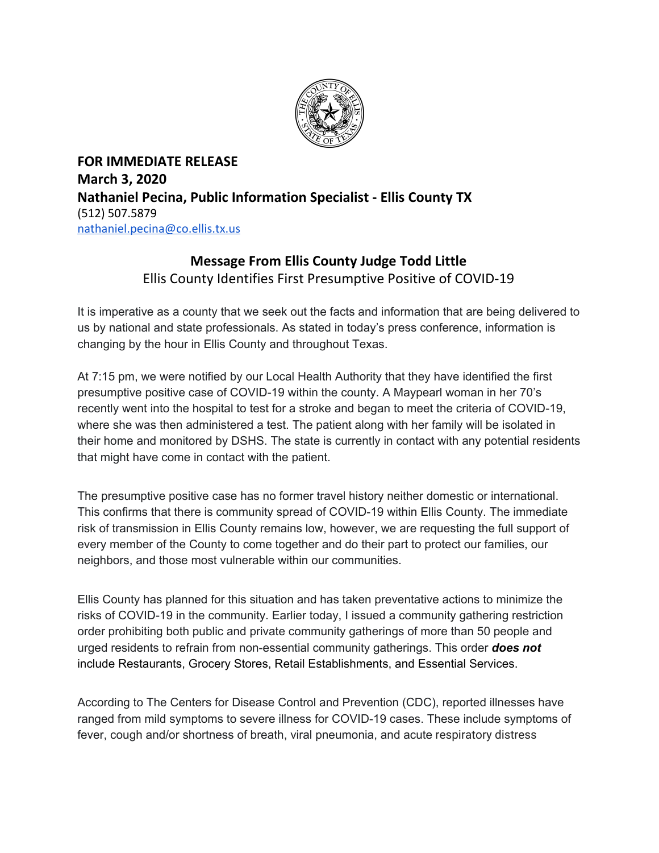

**FOR IMMEDIATE RELEASE March 3, 2020 Nathaniel Pecina, Public Information Specialist - Ellis County TX** (512) 507.5879 [nathaniel.pecina@co.ellis.tx.us](mailto:nathaniel.pecina@co.ellis.tx.us)

## **Message From Ellis County Judge Todd Little** Ellis County Identifies First Presumptive Positive of COVID-19

It is imperative as a county that we seek out the facts and information that are being delivered to us by national and state professionals. As stated in today's press conference, information is changing by the hour in Ellis County and throughout Texas.

At 7:15 pm, we were notified by our Local Health Authority that they have identified the first presumptive positive case of COVID-19 within the county. A Maypearl woman in her 70's recently went into the hospital to test for a stroke and began to meet the criteria of COVID-19, where she was then administered a test. The patient along with her family will be isolated in their home and monitored by DSHS. The state is currently in contact with any potential residents that might have come in contact with the patient.

The presumptive positive case has no former travel history neither domestic or international. This confirms that there is community spread of COVID-19 within Ellis County. The immediate risk of transmission in Ellis County remains low, however, we are requesting the full support of every member of the County to come together and do their part to protect our families, our neighbors, and those most vulnerable within our communities.

Ellis County has planned for this situation and has taken preventative actions to minimize the risks of COVID-19 in the community. Earlier today, I issued a community gathering restriction order prohibiting both public and private community gatherings of more than 50 people and urged residents to refrain from non-essential community gatherings. This order *does not* include Restaurants, Grocery Stores, Retail Establishments, and Essential Services.

According to The Centers for Disease Control and Prevention (CDC), reported illnesses have ranged from mild symptoms to severe illness for COVID-19 cases. These include symptoms of fever, cough and/or shortness of breath, viral pneumonia, and acute respiratory distress